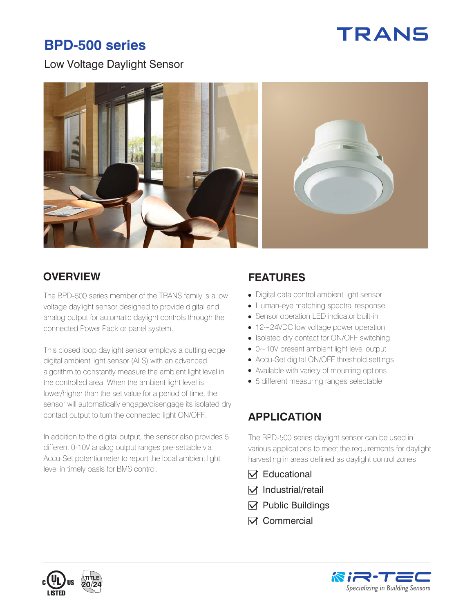# **TRANS**

## **BPD-500 series**

Low Voltage Daylight Sensor



#### **OVERVIEW FEATURES**

The BPD-500 series member of the TRANS family is a low voltage daylight sensor designed to provide digital and analog output for automatic daylight controls through the connected Power Pack or panel system.

This closed loop daylight sensor employs a cutting edge digital ambient light sensor (ALS) with an advanced algorithm to constantly measure the ambient light level in the controlled area. When the ambient light level is lower/higher than the set value for a period of time, the sensor will automatically engage/disengage its isolated dry contact output to turn the connected light ON/OFF.

In addition to the digital output, the sensor also provides 5 different 0-10V analog output ranges pre-settable via Accu-Set potentiometer to report the local ambient light level in timely basis for BMS control.

- Digital data control ambient light sensor
- Human-eye matching spectral response
- Sensor operation LED indicator built-in
- 12~24VDC low voltage power operation
- Isolated dry contact for ON/OFF switching
- 0~10V present ambient light level output
- Accu-Set digital ON/OFF threshold settings
- Available with variety of mounting options
- 5 different measuring ranges selectable

#### **APPLICATION**

The BPD-500 series daylight sensor can be used in various applications to meet the requirements for daylight harvesting in areas defined as daylight control zones.

- $\nabla$  Educational
- $\nabla$  Industrial/retail
- $\nabla$  Public Buildings
- $\nabla$  Commercial